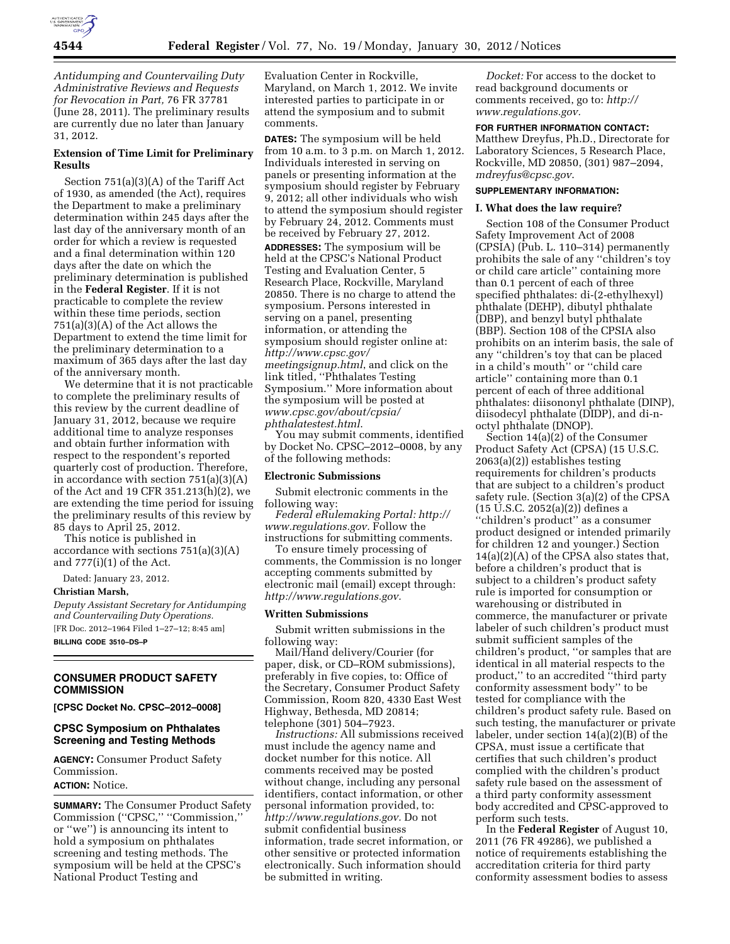

*Antidumping and Countervailing Duty Administrative Reviews and Requests for Revocation in Part,* 76 FR 37781 (June 28, 2011). The preliminary results are currently due no later than January 31, 2012.

## **Extension of Time Limit for Preliminary Results**

Section 751(a)(3)(A) of the Tariff Act of 1930, as amended (the Act), requires the Department to make a preliminary determination within 245 days after the last day of the anniversary month of an order for which a review is requested and a final determination within 120 days after the date on which the preliminary determination is published in the **Federal Register**. If it is not practicable to complete the review within these time periods, section 751(a)(3)(A) of the Act allows the Department to extend the time limit for the preliminary determination to a maximum of 365 days after the last day of the anniversary month.

We determine that it is not practicable to complete the preliminary results of this review by the current deadline of January 31, 2012, because we require additional time to analyze responses and obtain further information with respect to the respondent's reported quarterly cost of production. Therefore, in accordance with section 751(a)(3)(A) of the Act and 19 CFR 351.213(h)(2), we are extending the time period for issuing the preliminary results of this review by 85 days to April 25, 2012.

This notice is published in accordance with sections 751(a)(3)(A) and 777(i)(1) of the Act.

Dated: January 23, 2012.

**Christian Marsh,** 

*Deputy Assistant Secretary for Antidumping and Countervailing Duty Operations.*  [FR Doc. 2012–1964 Filed 1–27–12; 8:45 am] **BILLING CODE 3510–DS–P** 

**CONSUMER PRODUCT SAFETY COMMISSION** 

**[CPSC Docket No. CPSC–2012–0008]** 

## **CPSC Symposium on Phthalates Screening and Testing Methods**

**AGENCY:** Consumer Product Safety Commission.

**ACTION:** Notice.

**SUMMARY:** The Consumer Product Safety Commission (''CPSC,'' ''Commission,'' or ''we'') is announcing its intent to hold a symposium on phthalates screening and testing methods. The symposium will be held at the CPSC's National Product Testing and

Evaluation Center in Rockville, Maryland, on March 1, 2012. We invite interested parties to participate in or attend the symposium and to submit comments.

**DATES:** The symposium will be held from 10 a.m. to 3 p.m. on March 1, 2012. Individuals interested in serving on panels or presenting information at the symposium should register by February 9, 2012; all other individuals who wish to attend the symposium should register by February 24, 2012. Comments must be received by February 27, 2012. **ADDRESSES:** The symposium will be held at the CPSC's National Product Testing and Evaluation Center, 5 Research Place, Rockville, Maryland 20850. There is no charge to attend the symposium. Persons interested in serving on a panel, presenting information, or attending the symposium should register online at: *[http://www.cpsc.gov/](http://www.cpsc.gov/meetingsignup.html) [meetingsignup.html](http://www.cpsc.gov/meetingsignup.html)*, and click on the link titled, ''Phthalates Testing Symposium.'' More information about the symposium will be posted at *[www.cpsc.gov/about/cpsia/](http://www.cpsc.gov/about/cpsia/phthalatestest.html) [phthalatestest.html](http://www.cpsc.gov/about/cpsia/phthalatestest.html)*.

You may submit comments, identified by Docket No. CPSC–2012–0008, by any of the following methods:

### **Electronic Submissions**

Submit electronic comments in the following way:

*Federal eRulemaking Portal: [http://](http://www.regulations.gov)  [www.regulations.gov.](http://www.regulations.gov)* Follow the instructions for submitting comments.

To ensure timely processing of comments, the Commission is no longer accepting comments submitted by electronic mail (email) except through: *[http://www.regulations.gov.](http://www.regulations.gov)* 

### **Written Submissions**

Submit written submissions in the following way:

Mail/Hand delivery/Courier (for paper, disk, or CD–ROM submissions), preferably in five copies, to: Office of the Secretary, Consumer Product Safety Commission, Room 820, 4330 East West Highway, Bethesda, MD 20814; telephone (301) 504–7923.

*Instructions:* All submissions received must include the agency name and docket number for this notice. All comments received may be posted without change, including any personal identifiers, contact information, or other personal information provided, to: *[http://www.regulations.gov.](http://www.regulations.gov)* Do not submit confidential business information, trade secret information, or other sensitive or protected information electronically. Such information should be submitted in writing.

*Docket:* For access to the docket to read background documents or comments received, go to: *[http://](http://www.regulations.gov) [www.regulations.gov.](http://www.regulations.gov)* 

### **FOR FURTHER INFORMATION CONTACT:**

Matthew Dreyfus, Ph.D., Directorate for Laboratory Sciences, 5 Research Place, Rockville, MD 20850, (301) 987–2094, *[mdreyfus@cpsc.gov](mailto:mdreyfus@cpsc.gov)*.

# **SUPPLEMENTARY INFORMATION:**

### **I. What does the law require?**

Section 108 of the Consumer Product Safety Improvement Act of 2008 (CPSIA) (Pub. L. 110–314) permanently prohibits the sale of any ''children's toy or child care article'' containing more than 0.1 percent of each of three specified phthalates: di-(2-ethylhexyl) phthalate (DEHP), dibutyl phthalate (DBP), and benzyl butyl phthalate (BBP). Section 108 of the CPSIA also prohibits on an interim basis, the sale of any ''children's toy that can be placed in a child's mouth'' or ''child care article'' containing more than 0.1 percent of each of three additional phthalates: diisononyl phthalate (DINP), diisodecyl phthalate (DIDP), and di-noctyl phthalate (DNOP).

Section 14(a)(2) of the Consumer Product Safety Act (CPSA) (15 U.S.C. 2063(a)(2)) establishes testing requirements for children's products that are subject to a children's product safety rule. (Section 3(a)(2) of the CPSA (15 U.S.C. 2052(a)(2)) defines a ''children's product'' as a consumer product designed or intended primarily for children 12 and younger.) Section 14(a)(2)(A) of the CPSA also states that, before a children's product that is subject to a children's product safety rule is imported for consumption or warehousing or distributed in commerce, the manufacturer or private labeler of such children's product must submit sufficient samples of the children's product, ''or samples that are identical in all material respects to the product,'' to an accredited ''third party conformity assessment body'' to be tested for compliance with the children's product safety rule. Based on such testing, the manufacturer or private labeler, under section 14(a)(2)(B) of the CPSA, must issue a certificate that certifies that such children's product complied with the children's product safety rule based on the assessment of a third party conformity assessment body accredited and CPSC-approved to perform such tests.

In the **Federal Register** of August 10, 2011 (76 FR 49286), we published a notice of requirements establishing the accreditation criteria for third party conformity assessment bodies to assess